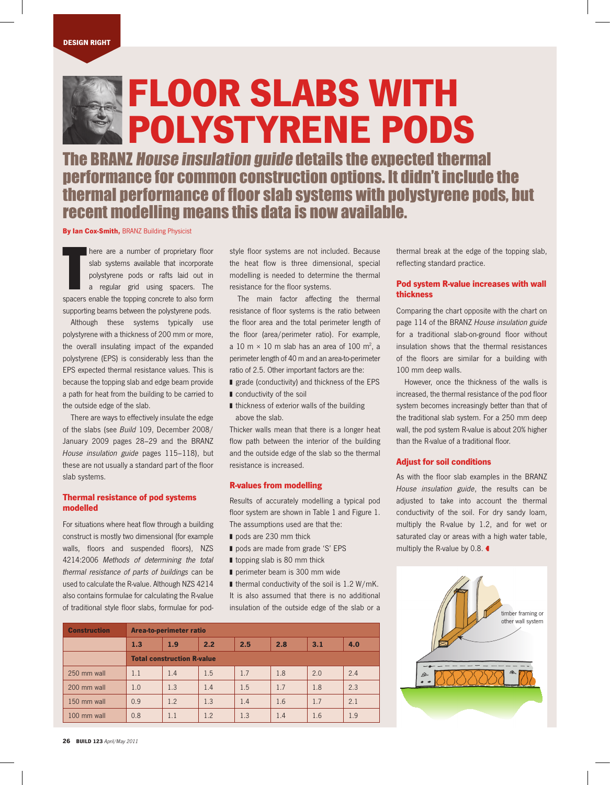# FLOOR SLABS WITH POLYSTYRENE PODS

The BRANZ House insulation guide details the expected thermal performance for common construction options. It didn't include the thermal performance of floor slab systems with polystyrene pods, but recent modelling means this data is now available.

By Ian Cox-Smith, BRANZ Building Physicist

There are a number of proprietary floor<br>Slab systems available that incorporate<br>polystyrene pods or rafts laid out in<br>a regular grid using spacers. The slab systems available that incorporate polystyrene pods or rafts laid out in a regular grid using spacers. The spacers enable the topping concrete to also form supporting beams between the polystyrene pods.

Although these systems typically use polystyrene with a thickness of 200 mm or more, the overall insulating impact of the expanded polystyrene (EPS) is considerably less than the EPS expected thermal resistance values. This is because the topping slab and edge beam provide a path for heat from the building to be carried to the outside edge of the slab.

There are ways to effectively insulate the edge of the slabs (see Build 109, December 2008/ January 2009 pages 28–29 and the BRANZ House insulation guide pages 115–118), but these are not usually a standard part of the floor slab systems.

### Thermal resistance of pod systems modelled

For situations where heat flow through a building construct is mostly two dimensional (for example walls, floors and suspended floors), NZS 4214:2006 Methods of determining the total thermal resistance of parts of buildings can be used to calculate the R-value. Although NZS 4214 also contains formulae for calculating the R-value of traditional style floor slabs, formulae for pod-

style floor systems are not included. Because the heat flow is three dimensional, special modelling is needed to determine the thermal resistance for the floor systems.

The main factor affecting the thermal resistance of floor systems is the ratio between the floor area and the total perimeter length of the floor (area/perimeter ratio). For example, a 10 m  $\times$  10 m slab has an area of 100 m<sup>2</sup>, a perimeter length of 40 m and an area-to-perimeter ratio of 2.5. Other important factors are the:

- grade (conductivity) and thickness of the EPS
- conductivity of the soil
- thickness of exterior walls of the building above the slab.

Thicker walls mean that there is a longer heat flow path between the interior of the building and the outside edge of the slab so the thermal resistance is increased.

### R-values from modelling

Results of accurately modelling a typical pod floor system are shown in Table 1 and Figure 1. The assumptions used are that the:

- pods are 230 mm thick
- pods are made from grade 'S' EPS
- topping slab is 80 mm thick
- perimeter beam is 300 mm wide

■ thermal conductivity of the soil is 1.2 W/mK. It is also assumed that there is no additional insulation of the outside edge of the slab or a

| <b>Construction</b> | Area-to-perimeter ratio           |     |     |     |     |     |     |
|---------------------|-----------------------------------|-----|-----|-----|-----|-----|-----|
|                     | 1.3                               | 1.9 | 2.2 | 2.5 | 2.8 | 3.1 | 4.0 |
|                     | <b>Total construction R-value</b> |     |     |     |     |     |     |
| 250 mm wall         | 1.1                               | 1.4 | 1.5 | 1.7 | 1.8 | 2.0 | 2.4 |
| 200 mm wall         | 1.0                               | 1.3 | 1.4 | 1.5 | 1.7 | 1.8 | 2.3 |
| 150 mm wall         | 0.9                               | 1.2 | 1.3 | 1.4 | 1.6 | 1.7 | 2.1 |
| 100 mm wall         | 0.8                               | 1.1 | 1.2 | 1.3 | 1.4 | 1.6 | 1.9 |

thermal break at the edge of the topping slab, reflecting standard practice.

## Pod system R-value increases with wall thickness

Comparing the chart opposite with the chart on page 114 of the BRANZ House insulation guide for a traditional slab-on-ground floor without insulation shows that the thermal resistances of the floors are similar for a building with 100 mm deep walls.

However, once the thickness of the walls is increased, the thermal resistance of the pod floor system becomes increasingly better than that of the traditional slab system. For a 250 mm deep wall, the pod system R-value is about 20% higher than the R-value of a traditional floor.

### Adjust for soil conditions

As with the floor slab examples in the BRANZ House insulation guide, the results can be adjusted to take into account the thermal conductivity of the soil. For dry sandy loam, multiply the R-value by 1.2, and for wet or saturated clay or areas with a high water table, multiply the R-value by 0.8.